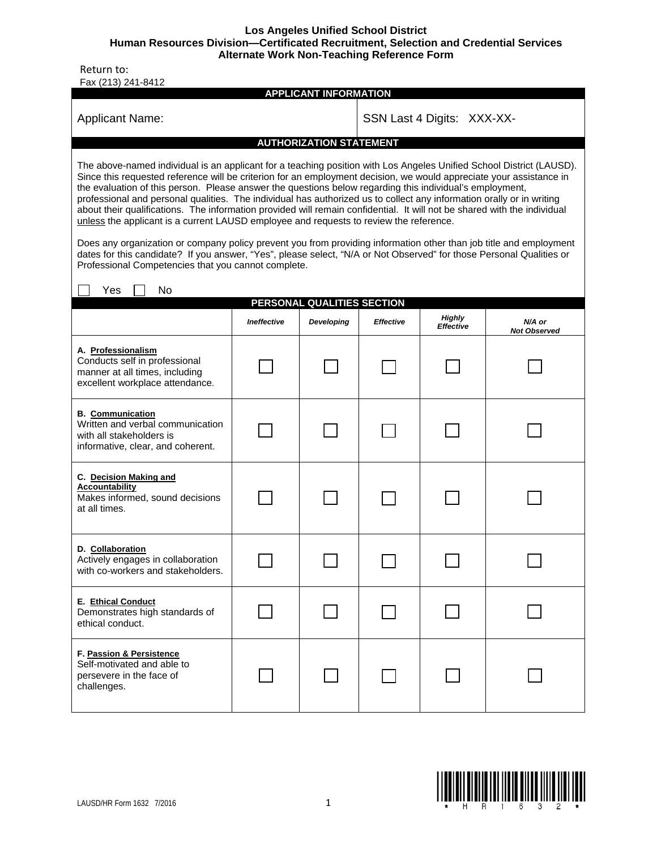## **Los Angeles Unified School District Human Resources Division—Certificated Recruitment, Selection and Credential Services Alternate Work Non-Teaching Reference Form**

| Return to:         |  |
|--------------------|--|
| Fax (213) 241-8412 |  |

| FAX (213) 241-0412<br><b>APPLICANT INFORMATION</b>                                                                                                                                                                                                                                                                                                                                                                                                                                                                                                                                                                                                                                                                                                                                                                                                                                                                                                                                                          |                            |                            |           |                  |                               |  |  |  |  |  |
|-------------------------------------------------------------------------------------------------------------------------------------------------------------------------------------------------------------------------------------------------------------------------------------------------------------------------------------------------------------------------------------------------------------------------------------------------------------------------------------------------------------------------------------------------------------------------------------------------------------------------------------------------------------------------------------------------------------------------------------------------------------------------------------------------------------------------------------------------------------------------------------------------------------------------------------------------------------------------------------------------------------|----------------------------|----------------------------|-----------|------------------|-------------------------------|--|--|--|--|--|
| <b>Applicant Name:</b>                                                                                                                                                                                                                                                                                                                                                                                                                                                                                                                                                                                                                                                                                                                                                                                                                                                                                                                                                                                      | SSN Last 4 Digits: XXX-XX- |                            |           |                  |                               |  |  |  |  |  |
| <b>AUTHORIZATION STATEMENT</b>                                                                                                                                                                                                                                                                                                                                                                                                                                                                                                                                                                                                                                                                                                                                                                                                                                                                                                                                                                              |                            |                            |           |                  |                               |  |  |  |  |  |
| The above-named individual is an applicant for a teaching position with Los Angeles Unified School District (LAUSD).<br>Since this requested reference will be criterion for an employment decision, we would appreciate your assistance in<br>the evaluation of this person. Please answer the questions below regarding this individual's employment,<br>professional and personal qualities. The individual has authorized us to collect any information orally or in writing<br>about their qualifications. The information provided will remain confidential. It will not be shared with the individual<br>unless the applicant is a current LAUSD employee and requests to review the reference.<br>Does any organization or company policy prevent you from providing information other than job title and employment<br>dates for this candidate? If you answer, "Yes", please select, "N/A or Not Observed" for those Personal Qualities or<br>Professional Competencies that you cannot complete. |                            |                            |           |                  |                               |  |  |  |  |  |
| Yes<br><b>No</b>                                                                                                                                                                                                                                                                                                                                                                                                                                                                                                                                                                                                                                                                                                                                                                                                                                                                                                                                                                                            |                            |                            |           |                  |                               |  |  |  |  |  |
|                                                                                                                                                                                                                                                                                                                                                                                                                                                                                                                                                                                                                                                                                                                                                                                                                                                                                                                                                                                                             |                            | PERSONAL QUALITIES SECTION |           | Highly           |                               |  |  |  |  |  |
|                                                                                                                                                                                                                                                                                                                                                                                                                                                                                                                                                                                                                                                                                                                                                                                                                                                                                                                                                                                                             | Ineffective                | Developing                 | Effective | <b>Effective</b> | N/A or<br><b>Not Observed</b> |  |  |  |  |  |
| A. Professionalism<br>Conducts self in professional<br>manner at all times, including<br>excellent workplace attendance.                                                                                                                                                                                                                                                                                                                                                                                                                                                                                                                                                                                                                                                                                                                                                                                                                                                                                    |                            |                            |           |                  |                               |  |  |  |  |  |
| <b>B.</b> Communication<br>Written and verbal communication<br>with all stakeholders is<br>informative, clear, and coherent.                                                                                                                                                                                                                                                                                                                                                                                                                                                                                                                                                                                                                                                                                                                                                                                                                                                                                |                            |                            |           |                  |                               |  |  |  |  |  |
| C. Decision Making and<br><b>Accountability</b><br>Makes informed, sound decisions<br>at all times.                                                                                                                                                                                                                                                                                                                                                                                                                                                                                                                                                                                                                                                                                                                                                                                                                                                                                                         |                            |                            |           |                  |                               |  |  |  |  |  |
| D. Collaboration<br>Actively engages in collaboration<br>with co-workers and stakeholders.                                                                                                                                                                                                                                                                                                                                                                                                                                                                                                                                                                                                                                                                                                                                                                                                                                                                                                                  |                            |                            |           |                  |                               |  |  |  |  |  |
| E. Ethical Conduct<br>Demonstrates high standards of<br>ethical conduct.                                                                                                                                                                                                                                                                                                                                                                                                                                                                                                                                                                                                                                                                                                                                                                                                                                                                                                                                    |                            |                            |           |                  |                               |  |  |  |  |  |
| F. Passion & Persistence<br>Self-motivated and able to<br>persevere in the face of<br>challenges.                                                                                                                                                                                                                                                                                                                                                                                                                                                                                                                                                                                                                                                                                                                                                                                                                                                                                                           |                            |                            |           |                  |                               |  |  |  |  |  |